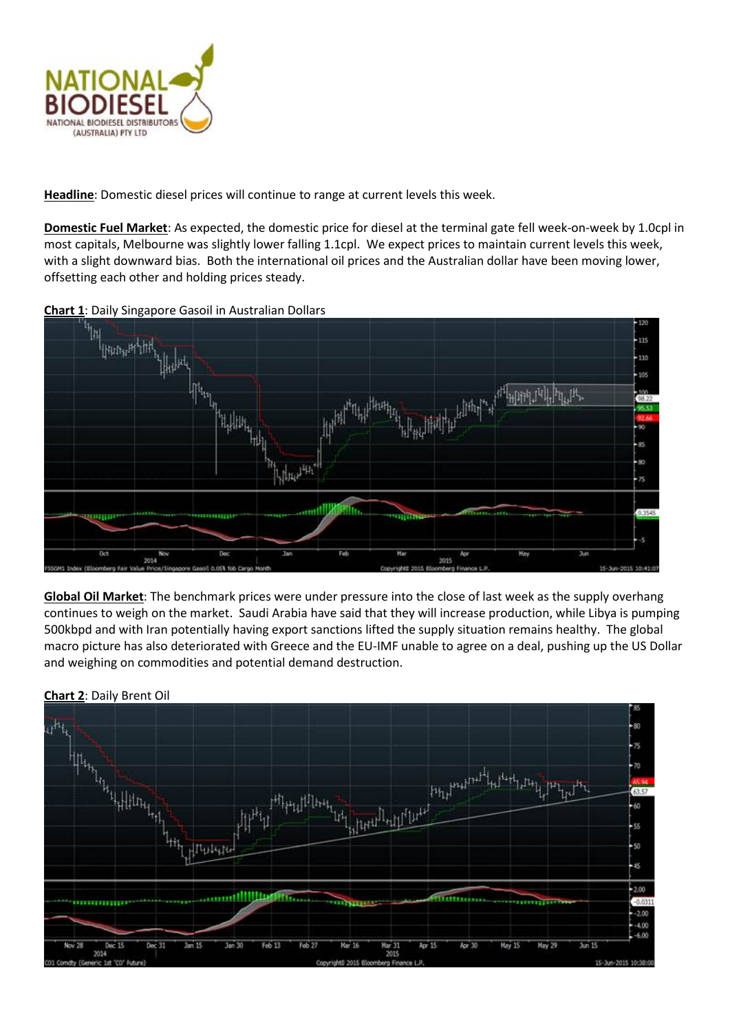

**Headline**: Domestic diesel prices will continue to range at current levels this week.

**Domestic Fuel Market**: As expected, the domestic price for diesel at the terminal gate fell week-on-week by 1.0cpl in most capitals, Melbourne was slightly lower falling 1.1cpl. We expect prices to maintain current levels this week, with a slight downward bias. Both the international oil prices and the Australian dollar have been moving lower, offsetting each other and holding prices steady.



**Global Oil Market**: The benchmark prices were under pressure into the close of last week as the supply overhang continues to weigh on the market. Saudi Arabia have said that they will increase production, while Libya is pumping 500kbpd and with Iran potentially having export sanctions lifted the supply situation remains healthy. The global macro picture has also deteriorated with Greece and the EU-IMF unable to agree on a deal, pushing up the US Dollar and weighing on commodities and potential demand destruction.



**Chart 2**: Daily Brent Oil